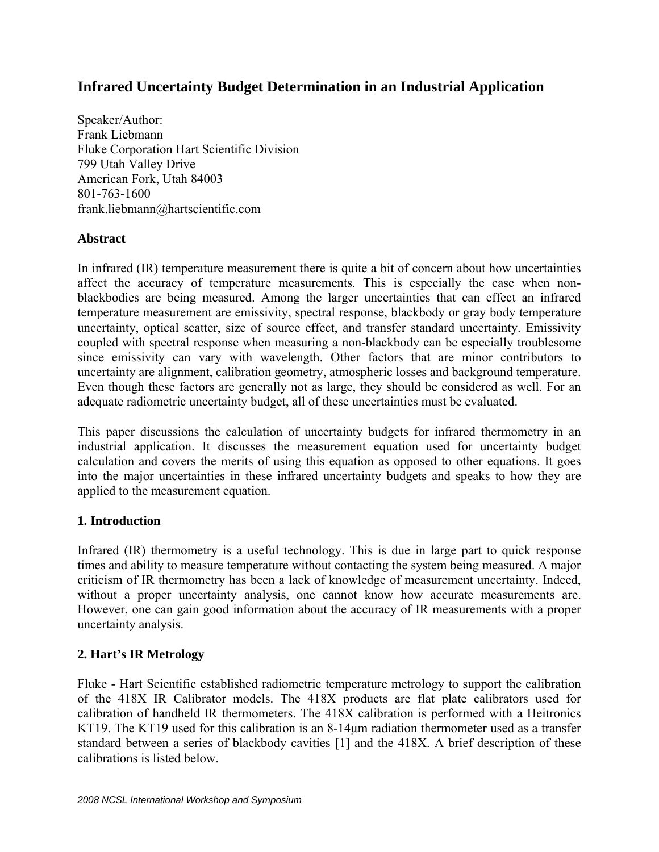# **Infrared Uncertainty Budget Determination in an Industrial Application**

Speaker/Author: Frank Liebmann Fluke Corporation Hart Scientific Division 799 Utah Valley Drive American Fork, Utah 84003 801-763-1600 frank.liebmann@hartscientific.com

### **Abstract**

In infrared (IR) temperature measurement there is quite a bit of concern about how uncertainties affect the accuracy of temperature measurements. This is especially the case when nonblackbodies are being measured. Among the larger uncertainties that can effect an infrared temperature measurement are emissivity, spectral response, blackbody or gray body temperature uncertainty, optical scatter, size of source effect, and transfer standard uncertainty. Emissivity coupled with spectral response when measuring a non-blackbody can be especially troublesome since emissivity can vary with wavelength. Other factors that are minor contributors to uncertainty are alignment, calibration geometry, atmospheric losses and background temperature. Even though these factors are generally not as large, they should be considered as well. For an adequate radiometric uncertainty budget, all of these uncertainties must be evaluated.

This paper discussions the calculation of uncertainty budgets for infrared thermometry in an industrial application. It discusses the measurement equation used for uncertainty budget calculation and covers the merits of using this equation as opposed to other equations. It goes into the major uncertainties in these infrared uncertainty budgets and speaks to how they are applied to the measurement equation.

# **1. Introduction**

Infrared (IR) thermometry is a useful technology. This is due in large part to quick response times and ability to measure temperature without contacting the system being measured. A major criticism of IR thermometry has been a lack of knowledge of measurement uncertainty. Indeed, without a proper uncertainty analysis, one cannot know how accurate measurements are. However, one can gain good information about the accuracy of IR measurements with a proper uncertainty analysis.

# **2. Hart's IR Metrology**

Fluke - Hart Scientific established radiometric temperature metrology to support the calibration of the 418X IR Calibrator models. The 418X products are flat plate calibrators used for calibration of handheld IR thermometers. The 418X calibration is performed with a Heitronics KT19. The KT19 used for this calibration is an 8-14μm radiation thermometer used as a transfer standard between a series of blackbody cavities [1] and the 418X. A brief description of these calibrations is listed below.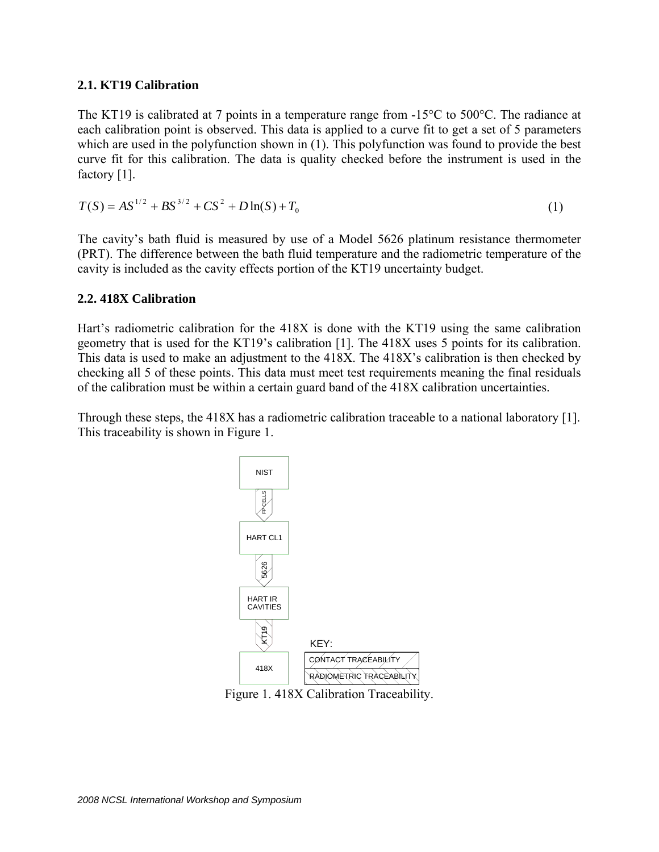### **2.1. KT19 Calibration**

The KT19 is calibrated at 7 points in a temperature range from  $-15^{\circ}$ C to 500 $^{\circ}$ C. The radiance at each calibration point is observed. This data is applied to a curve fit to get a set of 5 parameters which are used in the polyfunction shown in (1). This polyfunction was found to provide the best curve fit for this calibration. The data is quality checked before the instrument is used in the factory [1].

$$
T(S) = AS^{1/2} + BS^{3/2} + CS^2 + D\ln(S) + T_0
$$
\n(1)

The cavity's bath fluid is measured by use of a Model 5626 platinum resistance thermometer (PRT). The difference between the bath fluid temperature and the radiometric temperature of the cavity is included as the cavity effects portion of the KT19 uncertainty budget.

### **2.2. 418X Calibration**

Hart's radiometric calibration for the 418X is done with the KT19 using the same calibration geometry that is used for the KT19's calibration [1]. The 418X uses 5 points for its calibration. This data is used to make an adjustment to the 418X. The 418X's calibration is then checked by checking all 5 of these points. This data must meet test requirements meaning the final residuals of the calibration must be within a certain guard band of the 418X calibration uncertainties.

Through these steps, the 418X has a radiometric calibration traceable to a national laboratory [1]. This traceability is shown in Figure 1.



Figure 1. 418X Calibration Traceability.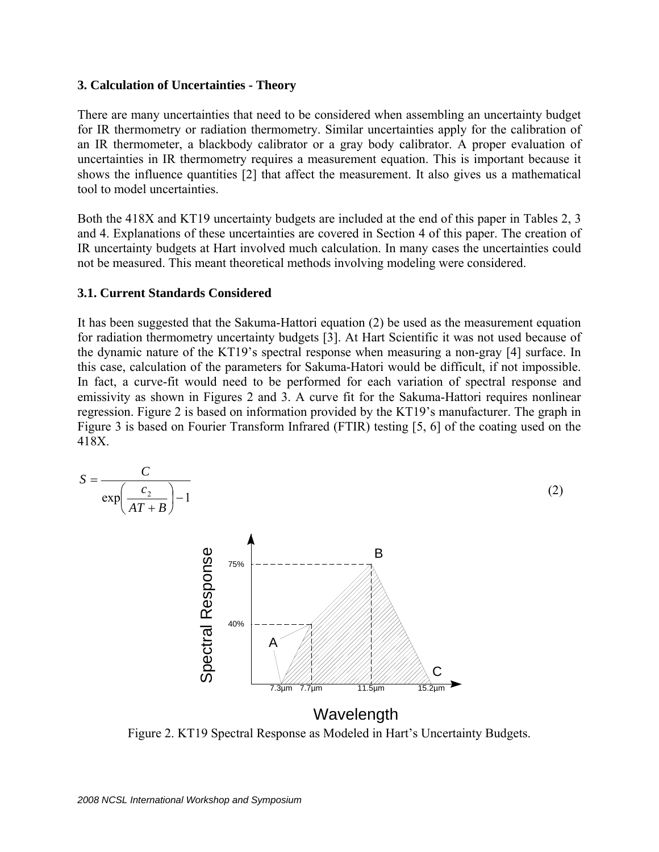#### **3. Calculation of Uncertainties - Theory**

There are many uncertainties that need to be considered when assembling an uncertainty budget for IR thermometry or radiation thermometry. Similar uncertainties apply for the calibration of an IR thermometer, a blackbody calibrator or a gray body calibrator. A proper evaluation of uncertainties in IR thermometry requires a measurement equation. This is important because it shows the influence quantities [2] that affect the measurement. It also gives us a mathematical tool to model uncertainties.

Both the 418X and KT19 uncertainty budgets are included at the end of this paper in Tables 2, 3 and 4. Explanations of these uncertainties are covered in Section 4 of this paper. The creation of IR uncertainty budgets at Hart involved much calculation. In many cases the uncertainties could not be measured. This meant theoretical methods involving modeling were considered.

### **3.1. Current Standards Considered**

It has been suggested that the Sakuma-Hattori equation (2) be used as the measurement equation for radiation thermometry uncertainty budgets [3]. At Hart Scientific it was not used because of the dynamic nature of the KT19's spectral response when measuring a non-gray [4] surface. In this case, calculation of the parameters for Sakuma-Hatori would be difficult, if not impossible. In fact, a curve-fit would need to be performed for each variation of spectral response and emissivity as shown in Figures 2 and 3. A curve fit for the Sakuma-Hattori requires nonlinear regression. Figure 2 is based on information provided by the KT19's manufacturer. The graph in Figure 3 is based on Fourier Transform Infrared (FTIR) testing [5, 6] of the coating used on the 418X.



Figure 2. KT19 Spectral Response as Modeled in Hart's Uncertainty Budgets.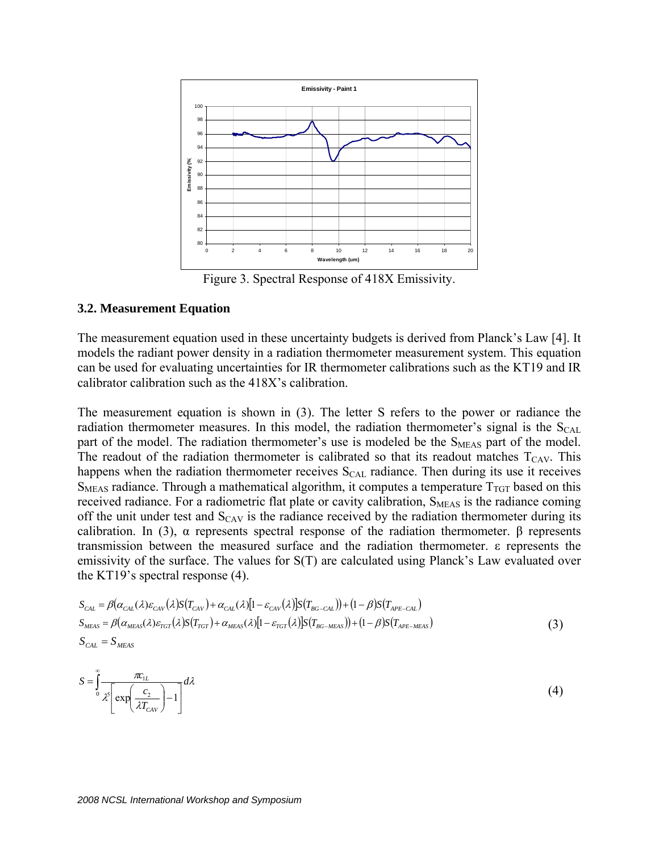

Figure 3. Spectral Response of 418X Emissivity.

#### **3.2. Measurement Equation**

The measurement equation used in these uncertainty budgets is derived from Planck's Law [4]. It models the radiant power density in a radiation thermometer measurement system. This equation can be used for evaluating uncertainties for IR thermometer calibrations such as the KT19 and IR calibrator calibration such as the 418X's calibration.

The measurement equation is shown in (3). The letter S refers to the power or radiance the radiation thermometer measures. In this model, the radiation thermometer's signal is the  $S_{CAL}$ part of the model. The radiation thermometer's use is modeled be the S<sub>MEAS</sub> part of the model. The readout of the radiation thermometer is calibrated so that its readout matches  $T_{CAV}$ . This happens when the radiation thermometer receives  $S_{CAL}$  radiance. Then during its use it receives  $S<sub>MEAS</sub>$  radiance. Through a mathematical algorithm, it computes a temperature  $T<sub>TGT</sub>$  based on this received radiance. For a radiometric flat plate or cavity calibration, S<sub>MEAS</sub> is the radiance coming off the unit under test and  $S_{CAY}$  is the radiance received by the radiation thermometer during its calibration. In (3), α represents spectral response of the radiation thermometer. β represents transmission between the measured surface and the radiation thermometer. ε represents the emissivity of the surface. The values for S(T) are calculated using Planck's Law evaluated over the KT19's spectral response (4).

$$
S_{CAL} = \beta(\alpha_{CAL}(\lambda)\varepsilon_{CAV}(\lambda)S(T_{CAV}) + \alpha_{CAL}(\lambda)[1 - \varepsilon_{CAV}(\lambda)]S(T_{BG-CAL})) + (1 - \beta)S(T_{APE-CAL})
$$
  
\n
$$
S_{MEAS} = \beta(\alpha_{MEAS}(\lambda)\varepsilon_{TGT}(\lambda)S(T_{TGT}) + \alpha_{MEAS}(\lambda)[1 - \varepsilon_{TGT}(\lambda)]S(T_{BG-MEAS})) + (1 - \beta)S(T_{APE-MEAS})
$$
  
\n
$$
S_{CAL} = S_{MEAS}
$$
\n(3)

$$
S = \int_{0}^{\infty} \frac{\pi c_{1L}}{\lambda^5 \left[ \exp\left(\frac{c_2}{\lambda T_{CAV}}\right) - 1 \right]} d\lambda \tag{4}
$$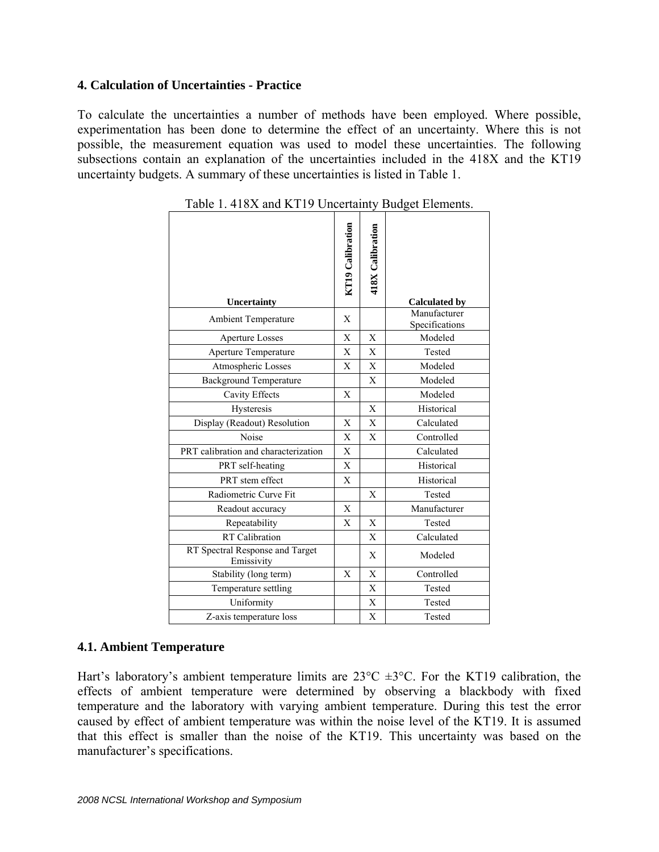# **4. Calculation of Uncertainties - Practice**

To calculate the uncertainties a number of methods have been employed. Where possible, experimentation has been done to determine the effect of an uncertainty. Where this is not possible, the measurement equation was used to model these uncertainties. The following subsections contain an explanation of the uncertainties included in the 418X and the KT19 uncertainty budgets. A summary of these uncertainties is listed in Table 1.

| Uncertainty                                   | KT19 Calibration | 418X Calibration | <b>Calculated by</b>           |
|-----------------------------------------------|------------------|------------------|--------------------------------|
| <b>Ambient Temperature</b>                    | X                |                  | Manufacturer<br>Specifications |
| <b>Aperture Losses</b>                        | X                | X                | Modeled                        |
| Aperture Temperature                          | X                | X                | Tested                         |
| Atmospheric Losses                            | X                | X                | Modeled                        |
| <b>Background Temperature</b>                 |                  | X                | Modeled                        |
| Cavity Effects                                | X                |                  | Modeled                        |
| Hysteresis                                    |                  | X                | Historical                     |
| Display (Readout) Resolution                  | X                | X                | Calculated                     |
| Noise                                         | X                | $\mathbf{X}$     | Controlled                     |
| PRT calibration and characterization          | X                |                  | Calculated                     |
| PRT self-heating                              | X                |                  | Historical                     |
| PRT stem effect                               | X                |                  | Historical                     |
| Radiometric Curve Fit                         |                  | X                | Tested                         |
| Readout accuracy                              | X                |                  | Manufacturer                   |
| Repeatability                                 | X                | X                | Tested                         |
| <b>RT</b> Calibration                         |                  | X                | Calculated                     |
| RT Spectral Response and Target<br>Emissivity |                  | X                | Modeled                        |
| Stability (long term)                         | X                | X                | Controlled                     |
| Temperature settling                          |                  | X                | Tested                         |
| Uniformity                                    |                  | X                | Tested                         |
| Z-axis temperature loss                       |                  | X                | Tested                         |

Table 1. 418X and KT19 Uncertainty Budget Elements.

#### **4.1. Ambient Temperature**

Hart's laboratory's ambient temperature limits are  $23^{\circ}$ C  $\pm 3^{\circ}$ C. For the KT19 calibration, the effects of ambient temperature were determined by observing a blackbody with fixed temperature and the laboratory with varying ambient temperature. During this test the error caused by effect of ambient temperature was within the noise level of the KT19. It is assumed that this effect is smaller than the noise of the KT19. This uncertainty was based on the manufacturer's specifications.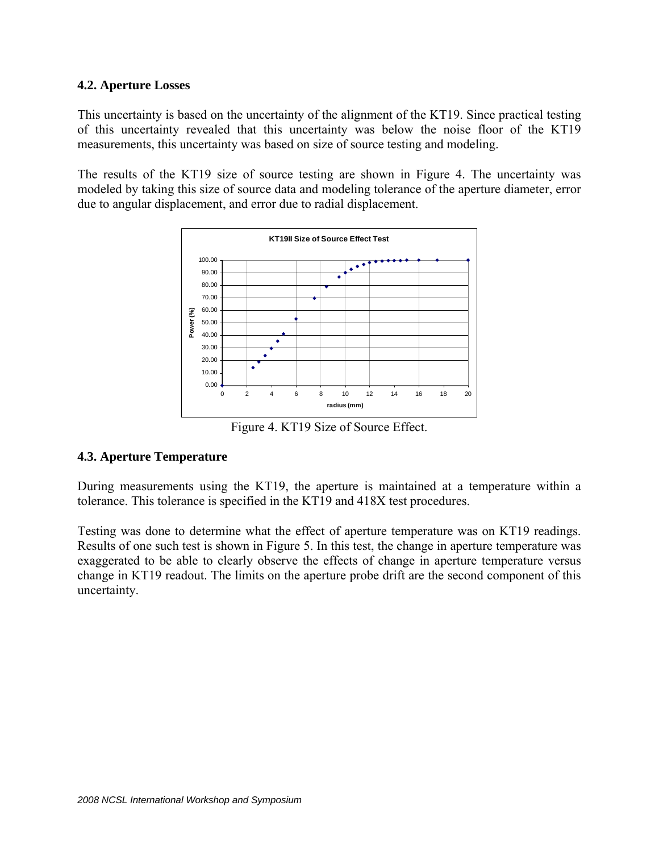### **4.2. Aperture Losses**

This uncertainty is based on the uncertainty of the alignment of the KT19. Since practical testing of this uncertainty revealed that this uncertainty was below the noise floor of the KT19 measurements, this uncertainty was based on size of source testing and modeling.

The results of the KT19 size of source testing are shown in Figure 4. The uncertainty was modeled by taking this size of source data and modeling tolerance of the aperture diameter, error due to angular displacement, and error due to radial displacement.



Figure 4. KT19 Size of Source Effect.

# **4.3. Aperture Temperature**

During measurements using the KT19, the aperture is maintained at a temperature within a tolerance. This tolerance is specified in the KT19 and 418X test procedures.

Testing was done to determine what the effect of aperture temperature was on KT19 readings. Results of one such test is shown in Figure 5. In this test, the change in aperture temperature was exaggerated to be able to clearly observe the effects of change in aperture temperature versus change in KT19 readout. The limits on the aperture probe drift are the second component of this uncertainty.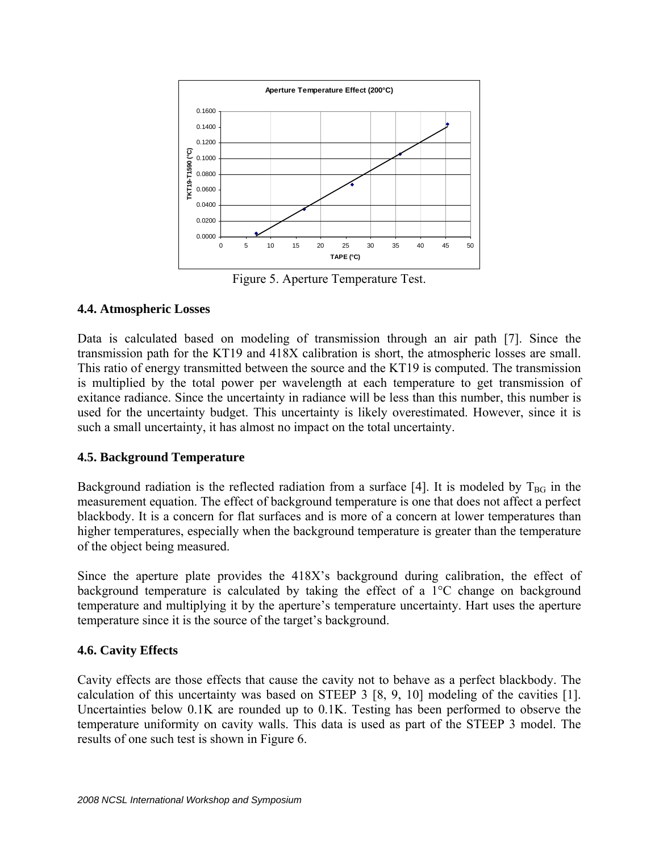

Figure 5. Aperture Temperature Test.

# **4.4. Atmospheric Losses**

Data is calculated based on modeling of transmission through an air path [7]. Since the transmission path for the KT19 and 418X calibration is short, the atmospheric losses are small. This ratio of energy transmitted between the source and the KT19 is computed. The transmission is multiplied by the total power per wavelength at each temperature to get transmission of exitance radiance. Since the uncertainty in radiance will be less than this number, this number is used for the uncertainty budget. This uncertainty is likely overestimated. However, since it is such a small uncertainty, it has almost no impact on the total uncertainty.

# **4.5. Background Temperature**

Background radiation is the reflected radiation from a surface [4]. It is modeled by  $T_{BG}$  in the measurement equation. The effect of background temperature is one that does not affect a perfect blackbody. It is a concern for flat surfaces and is more of a concern at lower temperatures than higher temperatures, especially when the background temperature is greater than the temperature of the object being measured.

Since the aperture plate provides the 418X's background during calibration, the effect of background temperature is calculated by taking the effect of a 1°C change on background temperature and multiplying it by the aperture's temperature uncertainty. Hart uses the aperture temperature since it is the source of the target's background.

# **4.6. Cavity Effects**

Cavity effects are those effects that cause the cavity not to behave as a perfect blackbody. The calculation of this uncertainty was based on STEEP 3 [8, 9, 10] modeling of the cavities [1]. Uncertainties below 0.1K are rounded up to 0.1K. Testing has been performed to observe the temperature uniformity on cavity walls. This data is used as part of the STEEP 3 model. The results of one such test is shown in Figure 6.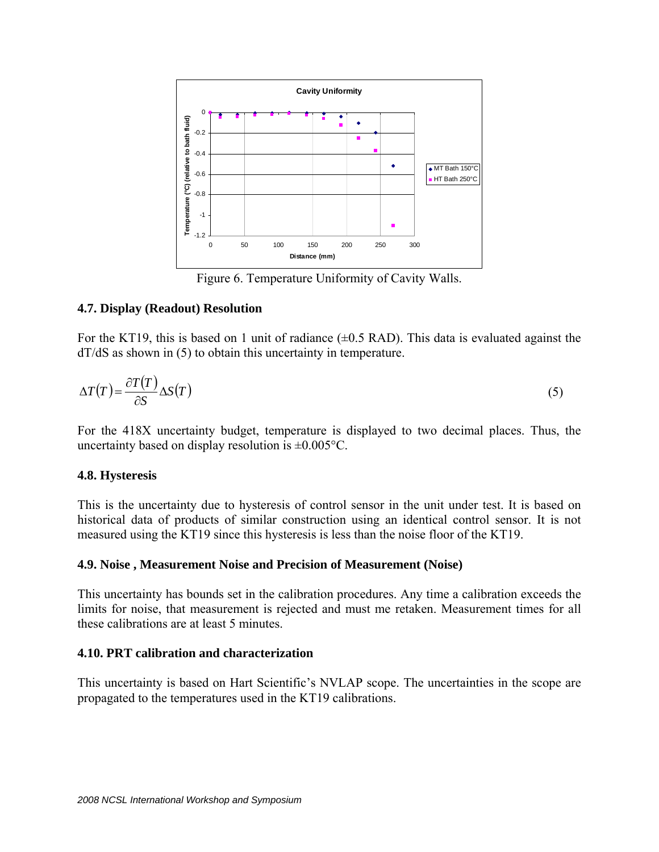

Figure 6. Temperature Uniformity of Cavity Walls.

### **4.7. Display (Readout) Resolution**

For the KT19, this is based on 1 unit of radiance  $(\pm 0.5 \text{ RAD})$ . This data is evaluated against the dT/dS as shown in (5) to obtain this uncertainty in temperature.

$$
\Delta T(T) = \frac{\partial T(T)}{\partial S} \Delta S(T) \tag{5}
$$

For the 418X uncertainty budget, temperature is displayed to two decimal places. Thus, the uncertainty based on display resolution is  $\pm 0.005$ °C.

#### **4.8. Hysteresis**

This is the uncertainty due to hysteresis of control sensor in the unit under test. It is based on historical data of products of similar construction using an identical control sensor. It is not measured using the KT19 since this hysteresis is less than the noise floor of the KT19.

# **4.9. Noise , Measurement Noise and Precision of Measurement (Noise)**

This uncertainty has bounds set in the calibration procedures. Any time a calibration exceeds the limits for noise, that measurement is rejected and must me retaken. Measurement times for all these calibrations are at least 5 minutes.

# **4.10. PRT calibration and characterization**

This uncertainty is based on Hart Scientific's NVLAP scope. The uncertainties in the scope are propagated to the temperatures used in the KT19 calibrations.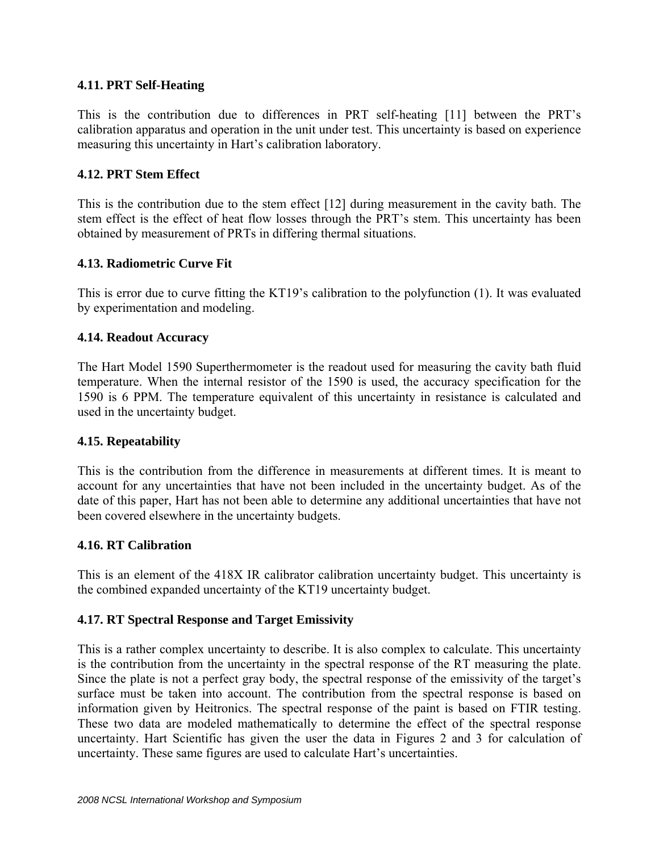# **4.11. PRT Self-Heating**

This is the contribution due to differences in PRT self-heating [11] between the PRT's calibration apparatus and operation in the unit under test. This uncertainty is based on experience measuring this uncertainty in Hart's calibration laboratory.

### **4.12. PRT Stem Effect**

This is the contribution due to the stem effect [12] during measurement in the cavity bath. The stem effect is the effect of heat flow losses through the PRT's stem. This uncertainty has been obtained by measurement of PRTs in differing thermal situations.

### **4.13. Radiometric Curve Fit**

This is error due to curve fitting the KT19's calibration to the polyfunction (1). It was evaluated by experimentation and modeling.

#### **4.14. Readout Accuracy**

The Hart Model 1590 Superthermometer is the readout used for measuring the cavity bath fluid temperature. When the internal resistor of the 1590 is used, the accuracy specification for the 1590 is 6 PPM. The temperature equivalent of this uncertainty in resistance is calculated and used in the uncertainty budget.

#### **4.15. Repeatability**

This is the contribution from the difference in measurements at different times. It is meant to account for any uncertainties that have not been included in the uncertainty budget. As of the date of this paper, Hart has not been able to determine any additional uncertainties that have not been covered elsewhere in the uncertainty budgets.

#### **4.16. RT Calibration**

This is an element of the 418X IR calibrator calibration uncertainty budget. This uncertainty is the combined expanded uncertainty of the KT19 uncertainty budget.

#### **4.17. RT Spectral Response and Target Emissivity**

This is a rather complex uncertainty to describe. It is also complex to calculate. This uncertainty is the contribution from the uncertainty in the spectral response of the RT measuring the plate. Since the plate is not a perfect gray body, the spectral response of the emissivity of the target's surface must be taken into account. The contribution from the spectral response is based on information given by Heitronics. The spectral response of the paint is based on FTIR testing. These two data are modeled mathematically to determine the effect of the spectral response uncertainty. Hart Scientific has given the user the data in Figures 2 and 3 for calculation of uncertainty. These same figures are used to calculate Hart's uncertainties.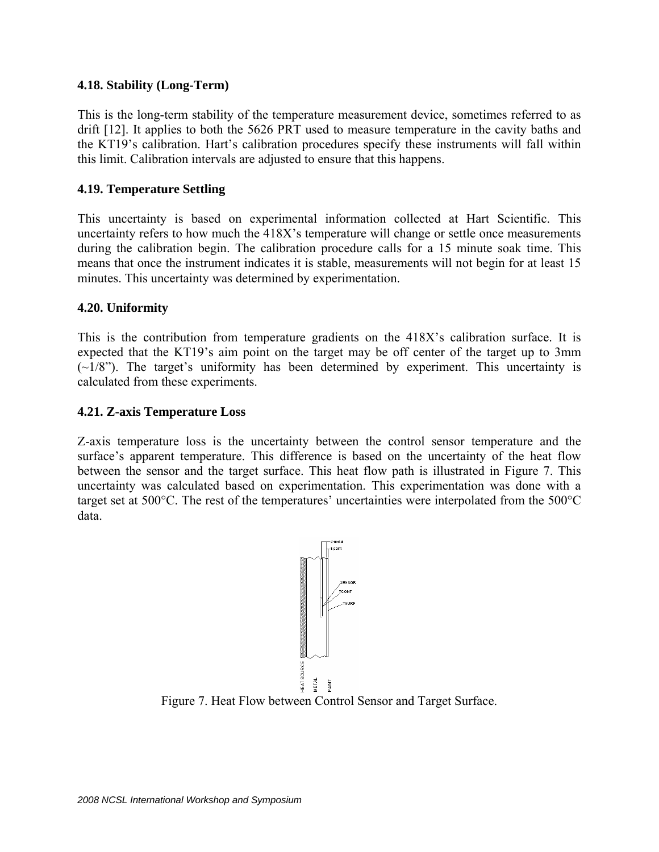### **4.18. Stability (Long-Term)**

This is the long-term stability of the temperature measurement device, sometimes referred to as drift [12]. It applies to both the 5626 PRT used to measure temperature in the cavity baths and the KT19's calibration. Hart's calibration procedures specify these instruments will fall within this limit. Calibration intervals are adjusted to ensure that this happens.

### **4.19. Temperature Settling**

This uncertainty is based on experimental information collected at Hart Scientific. This uncertainty refers to how much the 418X's temperature will change or settle once measurements during the calibration begin. The calibration procedure calls for a 15 minute soak time. This means that once the instrument indicates it is stable, measurements will not begin for at least 15 minutes. This uncertainty was determined by experimentation.

### **4.20. Uniformity**

This is the contribution from temperature gradients on the 418X's calibration surface. It is expected that the KT19's aim point on the target may be off center of the target up to 3mm  $(\sim 1/8)$ . The target's uniformity has been determined by experiment. This uncertainty is calculated from these experiments.

### **4.21. Z-axis Temperature Loss**

Z-axis temperature loss is the uncertainty between the control sensor temperature and the surface's apparent temperature. This difference is based on the uncertainty of the heat flow between the sensor and the target surface. This heat flow path is illustrated in Figure 7. This uncertainty was calculated based on experimentation. This experimentation was done with a target set at 500°C. The rest of the temperatures' uncertainties were interpolated from the 500°C data.



Figure 7. Heat Flow between Control Sensor and Target Surface.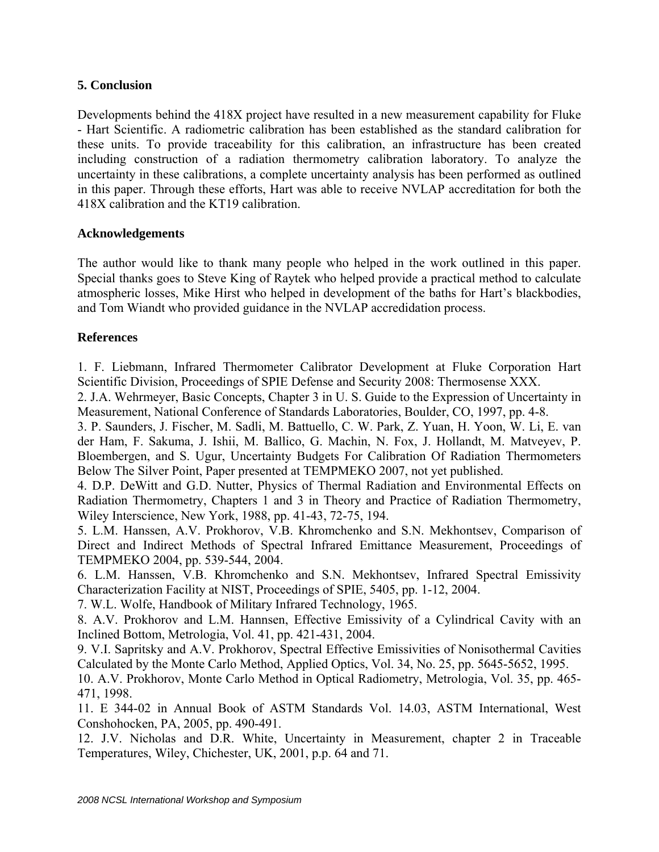# **5. Conclusion**

Developments behind the 418X project have resulted in a new measurement capability for Fluke - Hart Scientific. A radiometric calibration has been established as the standard calibration for these units. To provide traceability for this calibration, an infrastructure has been created including construction of a radiation thermometry calibration laboratory. To analyze the uncertainty in these calibrations, a complete uncertainty analysis has been performed as outlined in this paper. Through these efforts, Hart was able to receive NVLAP accreditation for both the 418X calibration and the KT19 calibration.

# **Acknowledgements**

The author would like to thank many people who helped in the work outlined in this paper. Special thanks goes to Steve King of Raytek who helped provide a practical method to calculate atmospheric losses, Mike Hirst who helped in development of the baths for Hart's blackbodies, and Tom Wiandt who provided guidance in the NVLAP accredidation process.

# **References**

1. F. Liebmann, Infrared Thermometer Calibrator Development at Fluke Corporation Hart Scientific Division, Proceedings of SPIE Defense and Security 2008: Thermosense XXX.

2. J.A. Wehrmeyer, Basic Concepts, Chapter 3 in U. S. Guide to the Expression of Uncertainty in Measurement, National Conference of Standards Laboratories, Boulder, CO, 1997, pp. 4-8.

3. P. Saunders, J. Fischer, M. Sadli, M. Battuello, C. W. Park, Z. Yuan, H. Yoon, W. Li, E. van der Ham, F. Sakuma, J. Ishii, M. Ballico, G. Machin, N. Fox, J. Hollandt, M. Matveyev, P. Bloembergen, and S. Ugur, Uncertainty Budgets For Calibration Of Radiation Thermometers Below The Silver Point, Paper presented at TEMPMEKO 2007, not yet published.

4. D.P. DeWitt and G.D. Nutter, Physics of Thermal Radiation and Environmental Effects on Radiation Thermometry, Chapters 1 and 3 in Theory and Practice of Radiation Thermometry, Wiley Interscience, New York, 1988, pp. 41-43, 72-75, 194.

5. L.M. Hanssen, A.V. Prokhorov, V.B. Khromchenko and S.N. Mekhontsev, Comparison of Direct and Indirect Methods of Spectral Infrared Emittance Measurement, Proceedings of TEMPMEKO 2004, pp. 539-544, 2004.

6. L.M. Hanssen, V.B. Khromchenko and S.N. Mekhontsev, Infrared Spectral Emissivity Characterization Facility at NIST, Proceedings of SPIE, 5405, pp. 1-12, 2004.

7. W.L. Wolfe, Handbook of Military Infrared Technology, 1965.

8. A.V. Prokhorov and L.M. Hannsen, Effective Emissivity of a Cylindrical Cavity with an Inclined Bottom, Metrologia, Vol. 41, pp. 421-431, 2004.

9. V.I. Sapritsky and A.V. Prokhorov, Spectral Effective Emissivities of Nonisothermal Cavities Calculated by the Monte Carlo Method, Applied Optics, Vol. 34, No. 25, pp. 5645-5652, 1995.

10. A.V. Prokhorov, Monte Carlo Method in Optical Radiometry, Metrologia, Vol. 35, pp. 465- 471, 1998.

11. E 344-02 in Annual Book of ASTM Standards Vol. 14.03, ASTM International, West Conshohocken, PA, 2005, pp. 490-491.

12. J.V. Nicholas and D.R. White, Uncertainty in Measurement, chapter 2 in Traceable Temperatures, Wiley, Chichester, UK, 2001, p.p. 64 and 71.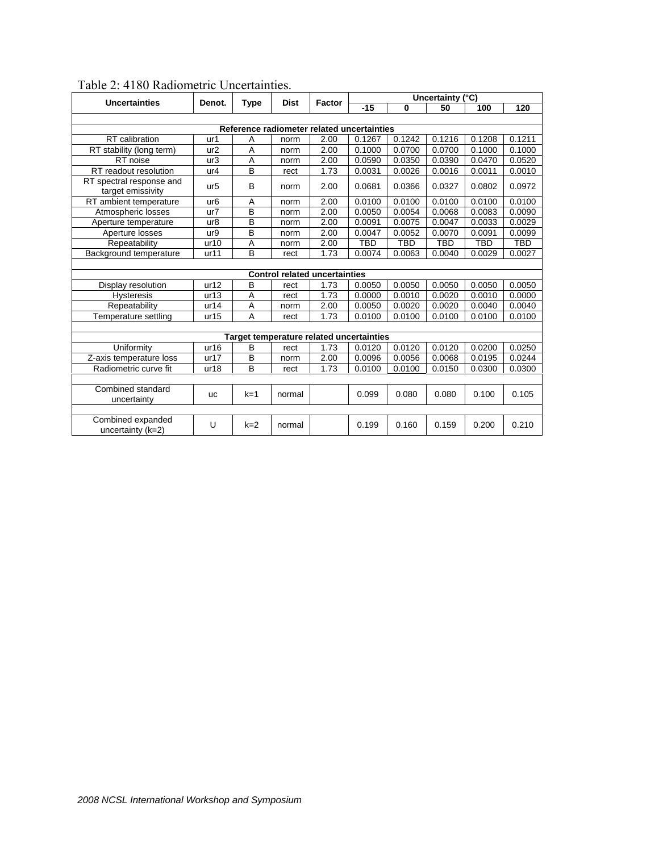|                                               | <b>Dist</b><br><b>Uncertainties</b><br>Denot.<br><b>Type</b> |               |                                      |      | Uncertainty (°C) |            |            |        |            |  |  |
|-----------------------------------------------|--------------------------------------------------------------|---------------|--------------------------------------|------|------------------|------------|------------|--------|------------|--|--|
|                                               |                                                              | <b>Factor</b> | $-15$                                | 0    | 50               | 100        | 120        |        |            |  |  |
|                                               |                                                              |               |                                      |      |                  |            |            |        |            |  |  |
| Reference radiometer related uncertainties    |                                                              |               |                                      |      |                  |            |            |        |            |  |  |
| RT calibration                                | ur1                                                          | A             | norm                                 | 2.00 | 0.1267           | 0.1242     | 0.1216     | 0.1208 | 0.1211     |  |  |
| RT stability (long term)                      | ur <sub>2</sub>                                              | Α             | norm                                 | 2.00 | 0.1000           | 0.0700     | 0.0700     | 0.1000 | 0.1000     |  |  |
| RT noise                                      | ur3                                                          | Α             | norm                                 | 2.00 | 0.0590           | 0.0350     | 0.0390     | 0.0470 | 0.0520     |  |  |
| RT readout resolution                         | ur4                                                          | B             | rect                                 | 1.73 | 0.0031           | 0.0026     | 0.0016     | 0.0011 | 0.0010     |  |  |
| RT spectral response and<br>target emissivity | ur <sub>5</sub>                                              | B             | norm                                 | 2.00 | 0.0681           | 0.0366     | 0.0327     | 0.0802 | 0.0972     |  |  |
| RT ambient temperature                        | ur <sub>6</sub>                                              | Α             | norm                                 | 2.00 | 0.0100           | 0.0100     | 0.0100     | 0.0100 | 0.0100     |  |  |
| Atmospheric losses                            | ur7                                                          | В             | norm                                 | 2.00 | 0.0050           | 0.0054     | 0.0068     | 0.0083 | 0.0090     |  |  |
| Aperture temperature                          | ur8                                                          | B             | norm                                 | 2.00 | 0.0091           | 0.0075     | 0.0047     | 0.0033 | 0.0029     |  |  |
| Aperture losses                               | ur9                                                          | B             | norm                                 | 2.00 | 0.0047           | 0.0052     | 0.0070     | 0.0091 | 0.0099     |  |  |
| Repeatability                                 | ur10                                                         | Α             | norm                                 | 2.00 | <b>TBD</b>       | <b>TBD</b> | <b>TBD</b> | TBD    | <b>TBD</b> |  |  |
| Background temperature                        | ur11                                                         | B             | rect                                 | 1.73 | 0.0074           | 0.0063     | 0.0040     | 0.0029 | 0.0027     |  |  |
|                                               |                                                              |               |                                      |      |                  |            |            |        |            |  |  |
|                                               |                                                              |               | <b>Control related uncertainties</b> |      |                  |            |            |        |            |  |  |
| Display resolution                            | ur12                                                         | B             | rect                                 | 1.73 | 0.0050           | 0.0050     | 0.0050     | 0.0050 | 0.0050     |  |  |
| <b>Hysteresis</b>                             | ur13                                                         | Α             | rect                                 | 1.73 | 0.0000           | 0.0010     | 0.0020     | 0.0010 | 0.0000     |  |  |
| Repeatability                                 | ur14                                                         | Α             | norm                                 | 2.00 | 0.0050           | 0.0020     | 0.0020     | 0.0040 | 0.0040     |  |  |
| Temperature settling                          | ur15                                                         | Α             | rect                                 | 1.73 | 0.0100           | 0.0100     | 0.0100     | 0.0100 | 0.0100     |  |  |
|                                               |                                                              |               |                                      |      |                  |            |            |        |            |  |  |
|                                               | Target temperature related uncertainties                     |               |                                      |      |                  |            |            |        |            |  |  |
| Uniformity                                    | ur16                                                         | B             | rect                                 | 1.73 | 0.0120           | 0.0120     | 0.0120     | 0.0200 | 0.0250     |  |  |
| Z-axis temperature loss                       | ur17                                                         | B             | norm                                 | 2.00 | 0.0096           | 0.0056     | 0.0068     | 0.0195 | 0.0244     |  |  |
| Radiometric curve fit                         | ur18                                                         | B             | rect                                 | 1.73 | 0.0100           | 0.0100     | 0.0150     | 0.0300 | 0.0300     |  |  |
|                                               |                                                              |               |                                      |      |                  |            |            |        |            |  |  |
| Combined standard<br>uncertainty              | <b>UC</b>                                                    | $k=1$         | normal                               |      | 0.099            | 0.080      | 0.080      | 0.100  | 0.105      |  |  |
|                                               |                                                              |               |                                      |      |                  |            |            |        |            |  |  |
| Combined expanded<br>uncertainty (k=2)        | U                                                            | $k=2$         | normal                               |      | 0.199            | 0.160      | 0.159      | 0.200  | 0.210      |  |  |

# Table 2: 4180 Radiometric Uncertainties.